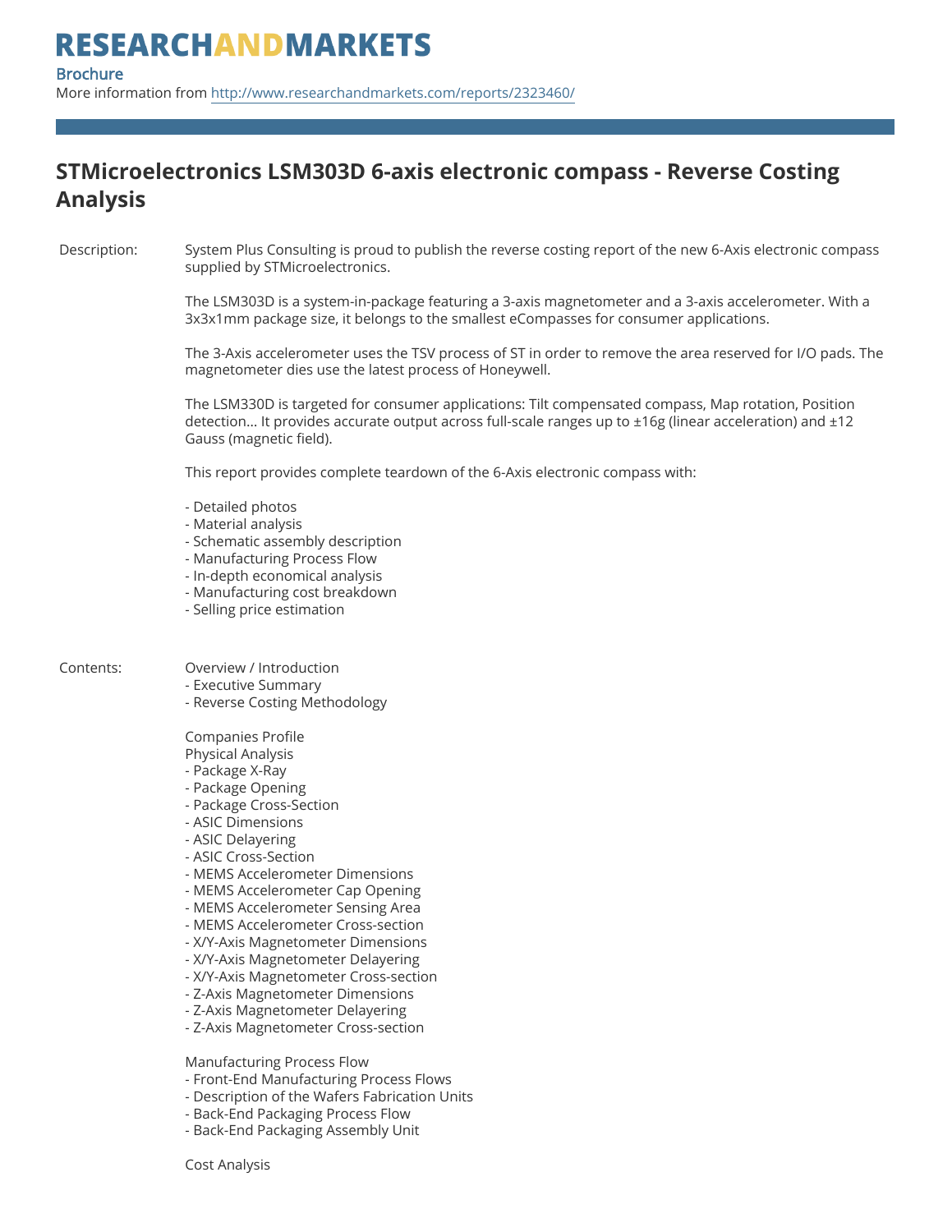### **STMicroelectronics LSM303D 6-axis electronic compass - Reverse Costing Analysis**

Description: System Plus Consulting is proud to publish the reverse costing report of the new 6-Axis electronic compass supplied by STMicroelectronics.

> The LSM303D is a system-in-package featuring a 3-axis magnetometer and a 3-axis accelerometer. With a 3x3x1mm package size, it belongs to the smallest eCompasses for consumer applications.

The 3-Axis accelerometer uses the TSV process of ST in order to remove the area reserved for I/O pads. The magnetometer dies use the latest process of Honeywell.

The LSM330D is targeted for consumer applications: Tilt compensated compass, Map rotation, Position detection… It provides accurate output across full-scale ranges up to ±16g (linear acceleration) and ±12 Gauss (magnetic field).

This report provides complete teardown of the 6-Axis electronic compass with:

- Detailed photos
- Material analysis
- Schematic assembly description
- Manufacturing Process Flow
- In-depth economical analysis
- Manufacturing cost breakdown
- Selling price estimation

### Contents: Overview / Introduction

- Executive Summary
- Reverse Costing Methodology

Companies Profile Physical Analysis

- Package X-Ray
- Package Opening
- Package Cross-Section
- ASIC Dimensions
- ASIC Delayering
- ASIC Cross-Section
- MEMS Accelerometer Dimensions
- MEMS Accelerometer Cap Opening
- MEMS Accelerometer Sensing Area
- MEMS Accelerometer Cross-section
- X/Y-Axis Magnetometer Dimensions
- X/Y-Axis Magnetometer Delayering
- X/Y-Axis Magnetometer Cross-section
- Z-Axis Magnetometer Dimensions
- Z-Axis Magnetometer Delayering
- Z-Axis Magnetometer Cross-section

Manufacturing Process Flow

- Front-End Manufacturing Process Flows
- Description of the Wafers Fabrication Units
- Back-End Packaging Process Flow
- Back-End Packaging Assembly Unit

Cost Analysis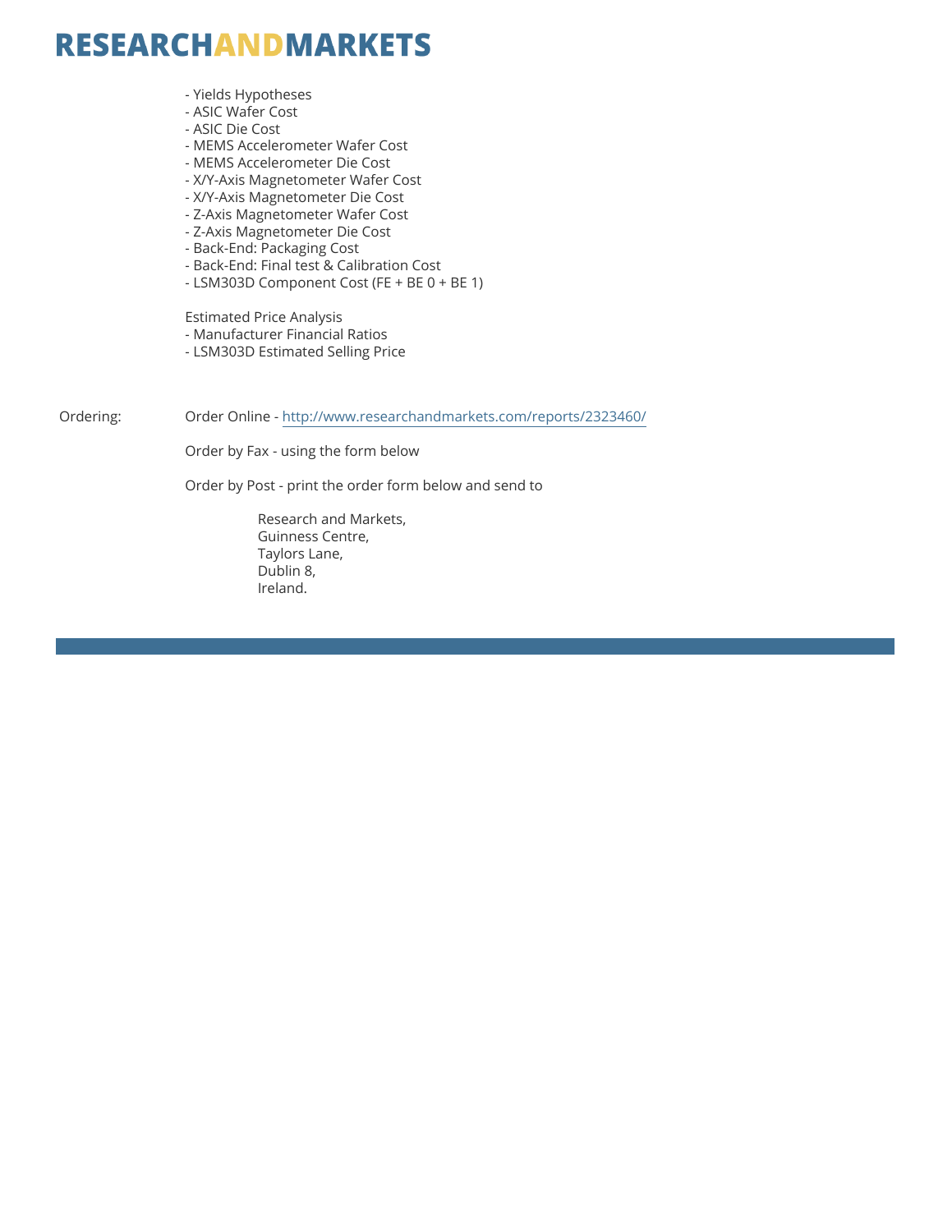### **RESEARCHANDMARKETS**

- Yields Hypotheses
- ASIC Wafer Cost
- ASIC Die Cost
- MEMS Accelerometer Wafer Cost
- MEMS Accelerometer Die Cost
- X/Y-Axis Magnetometer Wafer Cost
- X/Y-Axis Magnetometer Die Cost
- Z-Axis Magnetometer Wafer Cost
- Z-Axis Magnetometer Die Cost
- Back-End: Packaging Cost
- Back-End: Final test & Calibration Cost
- LSM303D Component Cost (FE + BE 0 + BE 1)

Estimated Price Analysis

- Manufacturer Financial Ratios
- LSM303D Estimated Selling Price

Ordering: Order Online -<http://www.researchandmarkets.com/reports/2323460/>

Order by Fax - using the form below

Order by Post - print the order form below and send to

 Research and Markets, Guinness Centre, Taylors Lane, Dublin 8, Ireland.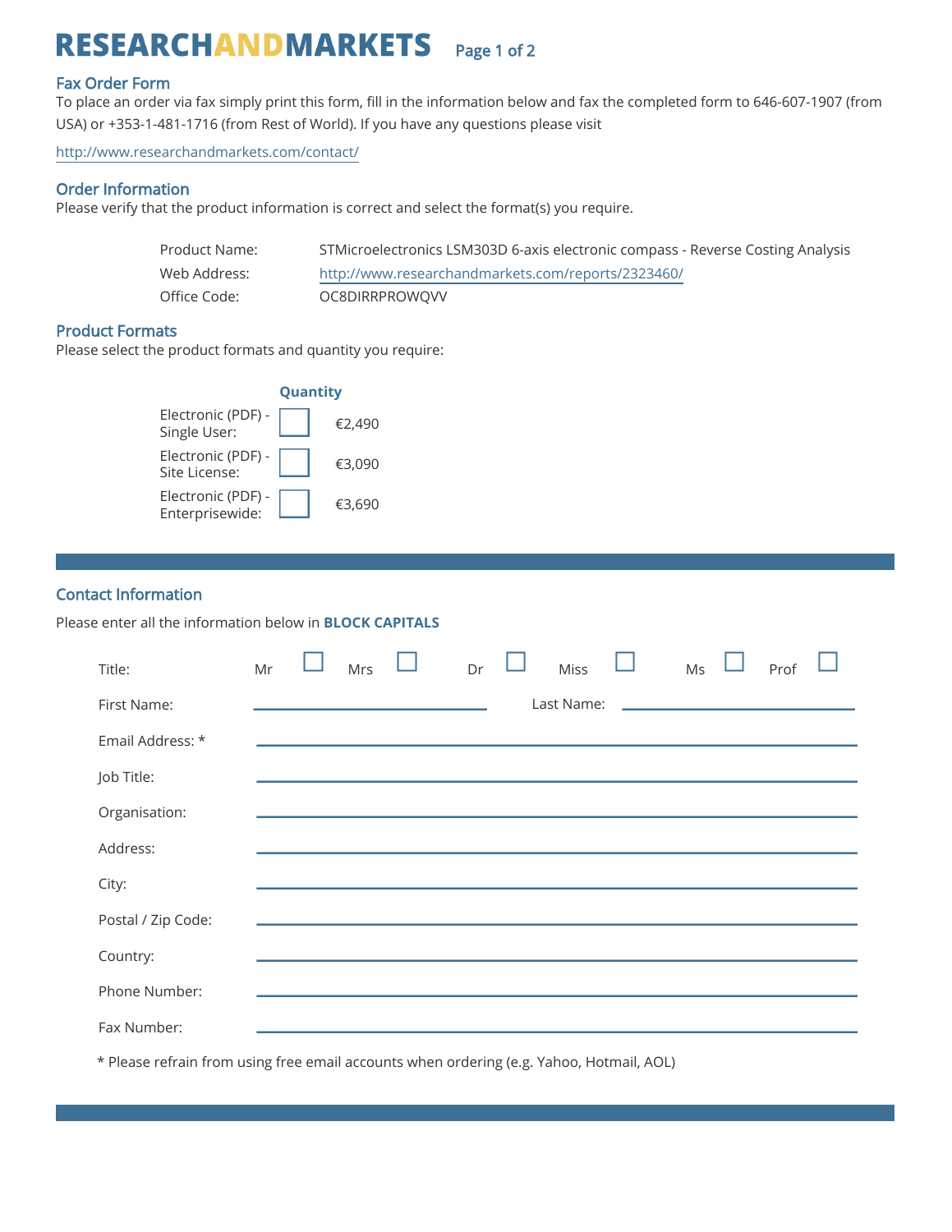## RESEARCHANDMARKETS Page 1 of 2

#### Fax Order Form

To place an order via fax simply print this form, fill in the information below and fax the completed form to 646-607-1907 (from USA) or +353-1-481-1716 (from Rest of World). If you have any questions please visit

<http://www.researchandmarkets.com/contact/>

#### Order Information

Please verify that the product information is correct and select the format(s) you require.

| Product Name:  | STMicroelectronics LSM303D 6-axis electronic compass - Reverse Costing Analysis |
|----------------|---------------------------------------------------------------------------------|
| Web Address: I | http://www.researchandmarkets.com/reports/2323460/                              |
| Office Code:   | OC8DIRRPROWOVV                                                                  |

#### Product Formats

Please select the product formats and quantity you require:



#### Contact Information

Please enter all the information below in **BLOCK CAPITALS**

| Title:             | Mr | Mrs | Dr | <b>Miss</b> | Ms | Prof |  |
|--------------------|----|-----|----|-------------|----|------|--|
| First Name:        |    |     |    | Last Name:  |    |      |  |
| Email Address: *   |    |     |    |             |    |      |  |
| Job Title:         |    |     |    |             |    |      |  |
| Organisation:      |    |     |    |             |    |      |  |
| Address:           |    |     |    |             |    |      |  |
| City:              |    |     |    |             |    |      |  |
| Postal / Zip Code: |    |     |    |             |    |      |  |
| Country:           |    |     |    |             |    |      |  |
| Phone Number:      |    |     |    |             |    |      |  |
| Fax Number:        |    |     |    |             |    |      |  |

\* Please refrain from using free email accounts when ordering (e.g. Yahoo, Hotmail, AOL)